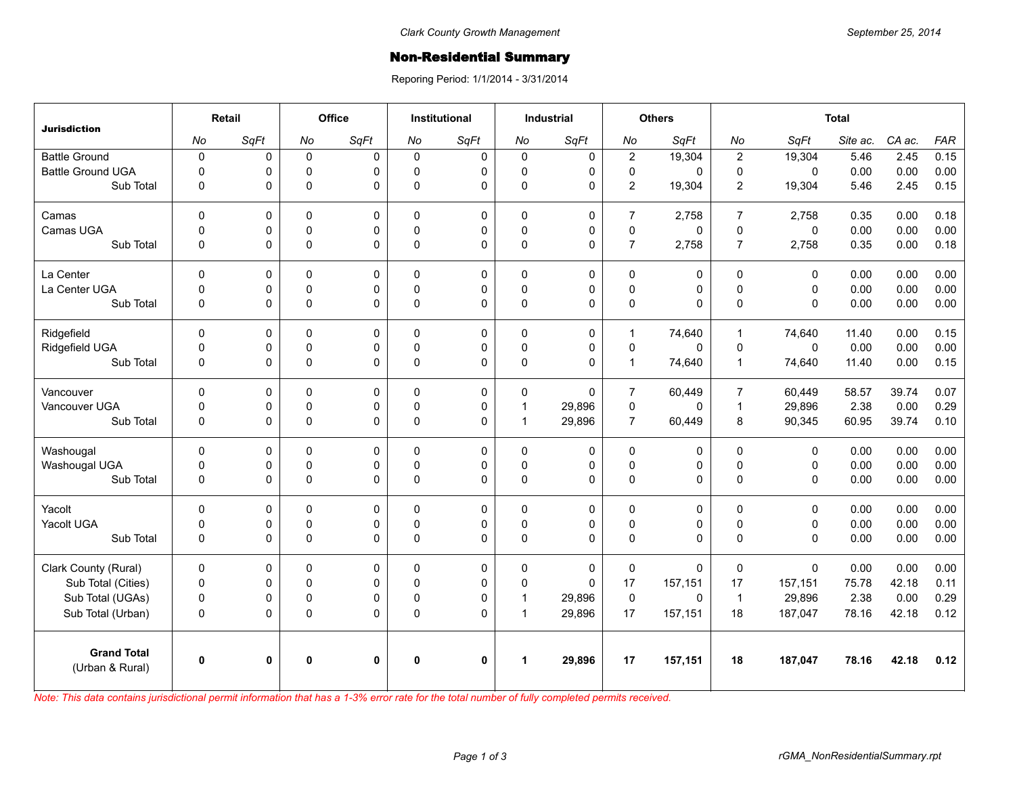## **Non-Residential Summary**

Reporing Period: 1/1/2014 - 3/31/2014

| <b>Jurisdiction</b>                   | Retail       |              | Office       |             | <b>Institutional</b> |              | <b>Industrial</b>    |             | <b>Others</b>  |             | <b>Total</b>     |              |          |        |            |
|---------------------------------------|--------------|--------------|--------------|-------------|----------------------|--------------|----------------------|-------------|----------------|-------------|------------------|--------------|----------|--------|------------|
|                                       | No           | SqFt         | No           | SqFt        | No                   | SqFt         | No                   | SqFt        | No             | SqFt        | No               | SqFt         | Site ac. | CA ac. | <b>FAR</b> |
| <b>Battle Ground</b>                  | $\pmb{0}$    | 0            | $\mathbf 0$  | 0           | $\mathbf 0$          | $\pmb{0}$    | $\mathbf 0$          | $\pmb{0}$   | $\overline{c}$ | 19,304      | $\boldsymbol{2}$ | 19,304       | 5.46     | 2.45   | 0.15       |
| <b>Battle Ground UGA</b>              | $\Omega$     | 0            | $\mathbf 0$  | 0           | $\Omega$             | 0            | $\mathbf{0}$         | $\mathbf 0$ | 0              | $\Omega$    | $\mathbf 0$      | $\mathbf{0}$ | 0.00     | 0.00   | 0.00       |
| Sub Total                             | $\mathbf 0$  | 0            | $\mathsf 0$  | 0           | $\Omega$             | 0            | $\mathbf 0$          | 0           | $\overline{2}$ | 19,304      | 2                | 19,304       | 5.46     | 2.45   | 0.15       |
| Camas                                 | $\Omega$     | 0            | $\mathbf 0$  | $\Omega$    | $\Omega$             | $\mathbf 0$  | $\mathbf{0}$         | $\mathbf 0$ | $\overline{7}$ | 2.758       | $\overline{7}$   | 2.758        | 0.35     | 0.00   | 0.18       |
| Camas UGA                             | $\pmb{0}$    | 0            | $\pmb{0}$    | 0           | $\Omega$             | 0            | $\mathbf 0$          | $\pmb{0}$   | $\mathsf 0$    | 0           | $\pmb{0}$        | $\mathbf 0$  | 0.00     | 0.00   | 0.00       |
| Sub Total                             | $\pmb{0}$    | 0            | $\mathsf 0$  | 0           | $\Omega$             | 0            | $\mathbf{0}$         | 0           | $\overline{7}$ | 2,758       | $\overline{7}$   | 2,758        | 0.35     | 0.00   | 0.18       |
| La Center                             | $\pmb{0}$    | 0            | $\pmb{0}$    | 0           | $\mathbf 0$          | 0            | $\mathbf 0$          | 0           | $\mathsf 0$    | $\pmb{0}$   | $\pmb{0}$        | $\mathbf 0$  | 0.00     | 0.00   | 0.00       |
| La Center UGA                         | $\mathbf 0$  | $\mathbf 0$  | $\mathbf 0$  | 0           | $\Omega$             | $\mathbf 0$  | $\mathbf 0$          | $\mathbf 0$ | 0              | $\mathbf 0$ | $\mathbf 0$      | $\mathbf 0$  | 0.00     | 0.00   | 0.00       |
| Sub Total                             | $\mathbf 0$  | 0            | $\pmb{0}$    | 0           | $\Omega$             | 0            | $\mathbf 0$          | 0           | $\mathsf 0$    | 0           | $\mathbf 0$      | $\mathbf{0}$ | 0.00     | 0.00   | 0.00       |
| Ridgefield                            | $\Omega$     | 0            | $\mathbf 0$  | 0           | $\Omega$             | 0            | $\mathbf{0}$         | 0           | $\mathbf{1}$   | 74,640      | $\mathbf{1}$     | 74,640       | 11.40    | 0.00   | 0.15       |
| Ridgefield UGA                        | $\mathsf 0$  | 0            | $\pmb{0}$    | 0           | $\mathbf 0$          | $\pmb{0}$    | $\pmb{0}$            | $\pmb{0}$   | $\mathsf 0$    | $\Omega$    | $\pmb{0}$        | $\mathbf 0$  | 0.00     | 0.00   | 0.00       |
| Sub Total                             | $\pmb{0}$    | 0            | $\mathsf 0$  | 0           | $\Omega$             | 0            | $\mathbf 0$          | 0           | $\mathbf{1}$   | 74,640      | $\mathbf{1}$     | 74,640       | 11.40    | 0.00   | 0.15       |
| Vancouver                             | $\mathbf 0$  | 0            | $\mathbf{0}$ | $\mathbf 0$ | $\Omega$             | 0            | $\mathbf{0}$         | $\Omega$    | $\overline{7}$ | 60,449      | $\overline{7}$   | 60.449       | 58.57    | 39.74  | 0.07       |
| Vancouver UGA                         | $\pmb{0}$    | 0            | $\pmb{0}$    | 0           | $\Omega$             | 0            | $\mathbf{1}$         | 29,896      | $\mathsf 0$    | 0           | $\mathbf{1}$     | 29,896       | 2.38     | 0.00   | 0.29       |
| Sub Total                             | $\pmb{0}$    | 0            | $\mathsf 0$  | 0           | $\mathbf 0$          | 0            | $\mathbf{1}$         | 29,896      | $\overline{7}$ | 60,449      | 8                | 90,345       | 60.95    | 39.74  | 0.10       |
| Washougal                             | $\mathbf 0$  | 0            | $\mathbf 0$  | 0           | $\Omega$             | 0            | $\mathbf 0$          | 0           | 0              | 0           | $\pmb{0}$        | $\mathbf 0$  | 0.00     | 0.00   | 0.00       |
| Washougal UGA                         | $\mathbf 0$  | 0            | $\mathbf 0$  | 0           | $\Omega$             | $\mathbf 0$  | $\mathbf 0$          | $\mathbf 0$ | 0              | 0           | $\pmb{0}$        | $\mathbf 0$  | 0.00     | 0.00   | 0.00       |
| Sub Total                             | $\pmb{0}$    | 0            | $\mathsf 0$  | 0           | $\mathbf 0$          | 0            | $\mathbf 0$          | 0           | $\mathsf 0$    | 0           | $\pmb{0}$        | $\mathbf 0$  | 0.00     | 0.00   | 0.00       |
| Yacolt                                | $\mathbf 0$  | 0            | $\mathbf 0$  | 0           | $\mathbf 0$          | 0            | $\mathbf{0}$         | $\mathbf 0$ | 0              | $\mathbf 0$ | $\mathbf 0$      | $\mathbf 0$  | 0.00     | 0.00   | 0.00       |
| Yacolt UGA                            | 0            | $\mathsf 0$  | $\pmb{0}$    | 0           | $\Omega$             | 0            | $\mathbf 0$          | 0           | $\mathsf 0$    | 0           | $\pmb{0}$        | $\pmb{0}$    | 0.00     | 0.00   | 0.00       |
| Sub Total                             | $\Omega$     | 0            | $\mathsf 0$  | 0           | $\Omega$             | 0            | $\mathbf{0}$         | 0           | 0              | $\Omega$    | $\Omega$         | $\mathbf{0}$ | 0.00     | 0.00   | 0.00       |
| Clark County (Rural)                  | $\mathbf 0$  | 0            | $\mathbf 0$  | 0           | 0                    | 0            | $\mathbf 0$          | $\mathbf 0$ | 0              | $\mathbf 0$ | $\mathbf 0$      | $\mathbf 0$  | 0.00     | 0.00   | 0.00       |
| Sub Total (Cities)                    | $\pmb{0}$    | 0            | $\mathbf 0$  | 0           | $\Omega$             | 0            | $\mathbf 0$          | $\Omega$    | 17             | 157,151     | 17               | 157,151      | 75.78    | 42.18  | 0.11       |
| Sub Total (UGAs)                      | 0            | 0            | $\pmb{0}$    | 0           | $\Omega$             | 0            | $\mathbf{1}$         | 29,896      | $\pmb{0}$      | 0           | $\overline{1}$   | 29,896       | 2.38     | 0.00   | 0.29       |
| Sub Total (Urban)                     | $\pmb{0}$    | 0            | $\mathsf 0$  | 0           | $\mathbf 0$          | 0            | $\mathbf{1}$         | 29,896      | 17             | 157,151     | 18               | 187,047      | 78.16    | 42.18  | 0.12       |
| <b>Grand Total</b><br>(Urban & Rural) | $\mathbf{0}$ | $\mathbf{0}$ | 0            | 0           | 0                    | $\mathbf{0}$ | $\blacktriangleleft$ | 29,896      | 17             | 157,151     | 18               | 187,047      | 78.16    | 42.18  | 0.12       |

*Note: This data contains jurisdictional permit information that has a 1-3% error rate for the total number of fully completed permits received.*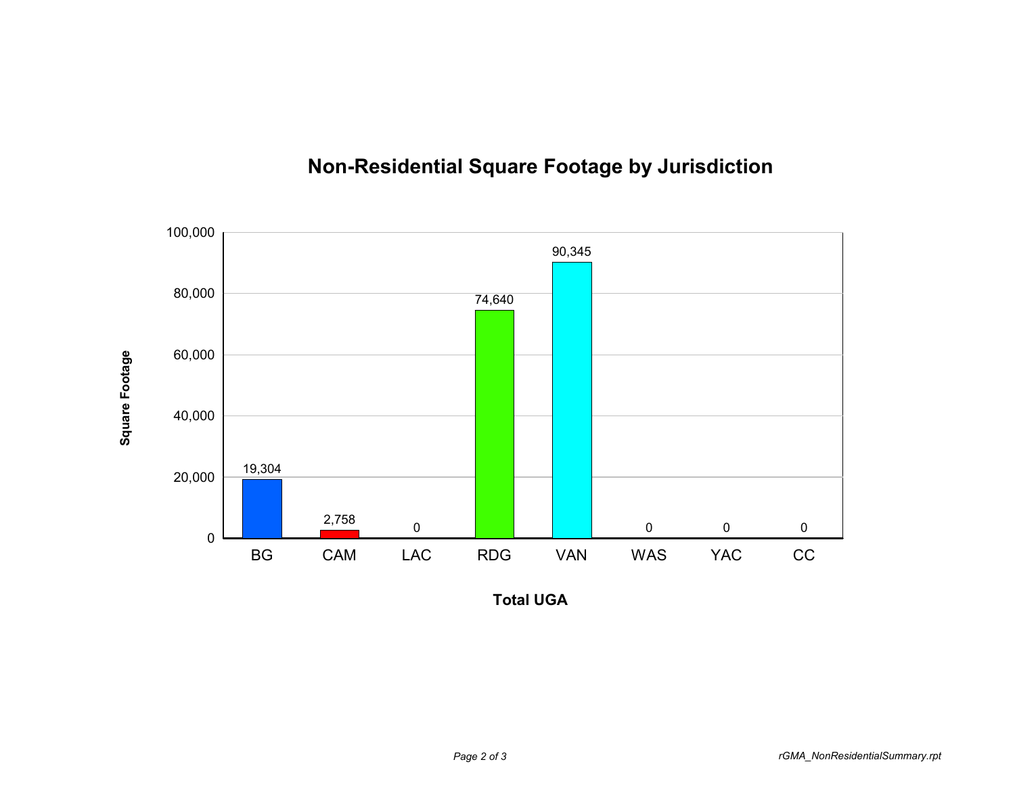

## **Non-Residential Square Footage by Jurisdiction**

**Total UGA**